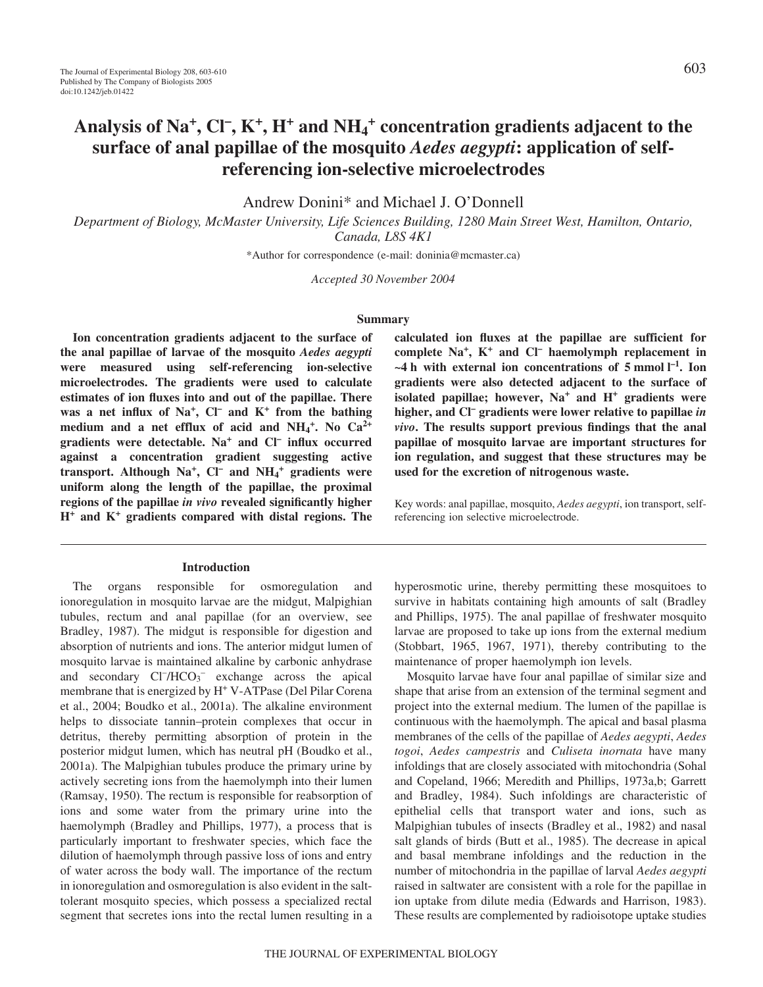# **Analysis of Na+, Cl– , K+, H+ and NH4 <sup>+</sup> concentration gradients adjacent to the surface of anal papillae of the mosquito** *Aedes aegypti***: application of selfreferencing ion-selective microelectrodes**

Andrew Donini\* and Michael J. O'Donnell

*Department of Biology, McMaster University, Life Sciences Building, 1280 Main Street West, Hamilton, Ontario, Canada, L8S 4K1*

\*Author for correspondence (e-mail: doninia@mcmaster.ca)

*Accepted 30 November 2004*

#### **Summary**

**Ion concentration gradients adjacent to the surface of the anal papillae of larvae of the mosquito** *Aedes aegypti* **were measured using self-referencing ion-selective microelectrodes. The gradients were used to calculate estimates of ion fluxes into and out of the papillae. There was a net influx of Na+, Cl– and K<sup>+</sup> from the bathing medium and a net efflux of acid and NH4 +. No Ca2+ gradients were detectable. Na<sup>+</sup> and Cl– influx occurred against a concentration gradient suggesting active transport. Although Na+, Cl– and NH4 <sup>+</sup> gradients were uniform along the length of the papillae, the proximal regions of the papillae** *in vivo* **revealed significantly higher H+ and K<sup>+</sup> gradients compared with distal regions. The**

#### **Introduction**

The organs responsible for osmoregulation and ionoregulation in mosquito larvae are the midgut, Malpighian tubules, rectum and anal papillae (for an overview, see Bradley, 1987). The midgut is responsible for digestion and absorption of nutrients and ions. The anterior midgut lumen of mosquito larvae is maintained alkaline by carbonic anhydrase and secondary  $Cl^-/HCO_3^-$  exchange across the apical membrane that is energized by H<sup>+</sup> V-ATPase (Del Pilar Corena et al., 2004; Boudko et al., 2001a). The alkaline environment helps to dissociate tannin–protein complexes that occur in detritus, thereby permitting absorption of protein in the posterior midgut lumen, which has neutral pH (Boudko et al., 2001a). The Malpighian tubules produce the primary urine by actively secreting ions from the haemolymph into their lumen (Ramsay, 1950). The rectum is responsible for reabsorption of ions and some water from the primary urine into the haemolymph (Bradley and Phillips, 1977), a process that is particularly important to freshwater species, which face the dilution of haemolymph through passive loss of ions and entry of water across the body wall. The importance of the rectum in ionoregulation and osmoregulation is also evident in the salttolerant mosquito species, which possess a specialized rectal segment that secretes ions into the rectal lumen resulting in a **calculated ion fluxes at the papillae are sufficient for complete Na+, K+ and Cl– haemolymph replacement in**  $\sim$ **4** h with external ion concentrations of 5 mmol  $l^{-1}$ . Ion **gradients were also detected adjacent to the surface of isolated papillae; however, Na<sup>+</sup> and H<sup>+</sup> gradients were higher, and Cl– gradients were lower relative to papillae** *in vivo***. The results support previous findings that the anal papillae of mosquito larvae are important structures for ion regulation, and suggest that these structures may be used for the excretion of nitrogenous waste.**

Key words: anal papillae, mosquito, *Aedes aegypti*, ion transport, selfreferencing ion selective microelectrode.

hyperosmotic urine, thereby permitting these mosquitoes to survive in habitats containing high amounts of salt (Bradley and Phillips, 1975). The anal papillae of freshwater mosquito larvae are proposed to take up ions from the external medium (Stobbart, 1965, 1967, 1971), thereby contributing to the maintenance of proper haemolymph ion levels.

Mosquito larvae have four anal papillae of similar size and shape that arise from an extension of the terminal segment and project into the external medium. The lumen of the papillae is continuous with the haemolymph. The apical and basal plasma membranes of the cells of the papillae of *Aedes aegypti*, *Aedes togoi*, *Aedes campestris* and *Culiseta inornata* have many infoldings that are closely associated with mitochondria (Sohal and Copeland, 1966; Meredith and Phillips, 1973a,b; Garrett and Bradley, 1984). Such infoldings are characteristic of epithelial cells that transport water and ions, such as Malpighian tubules of insects (Bradley et al., 1982) and nasal salt glands of birds (Butt et al., 1985). The decrease in apical and basal membrane infoldings and the reduction in the number of mitochondria in the papillae of larval *Aedes aegypti* raised in saltwater are consistent with a role for the papillae in ion uptake from dilute media (Edwards and Harrison, 1983). These results are complemented by radioisotope uptake studies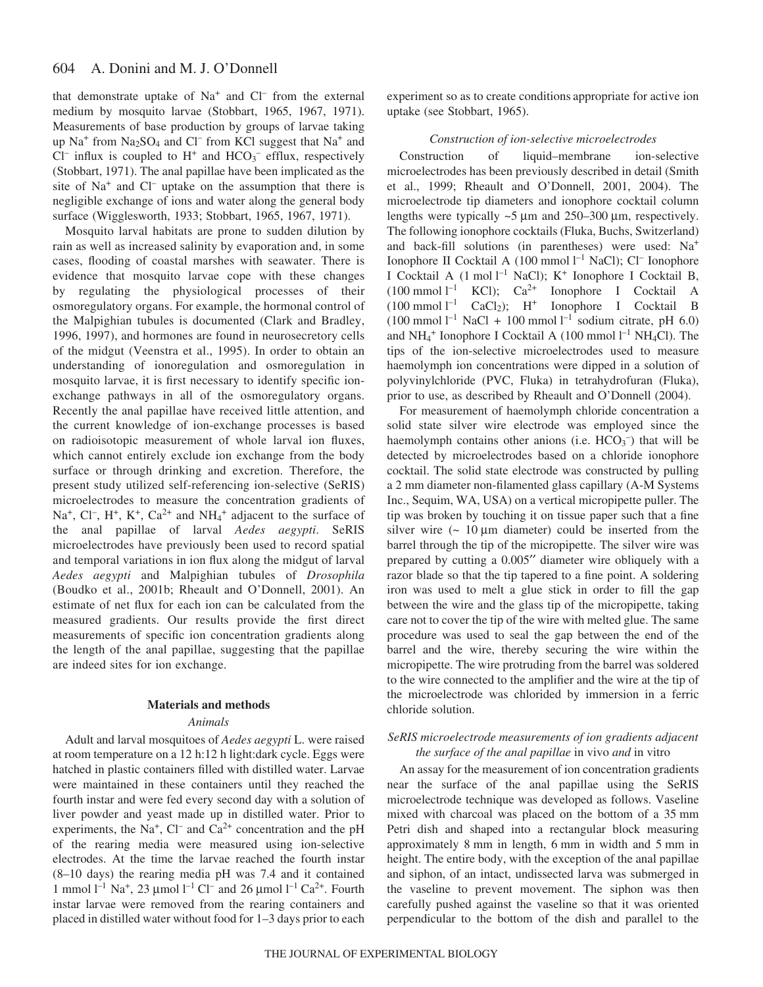that demonstrate uptake of  $Na^+$  and  $Cl^-$  from the external medium by mosquito larvae (Stobbart, 1965, 1967, 1971). Measurements of base production by groups of larvae taking up  $Na<sup>+</sup>$  from  $Na<sub>2</sub>SO<sub>4</sub>$  and Cl<sup>–</sup> from KCl suggest that  $Na<sup>+</sup>$  and Cl<sup>-</sup> influx is coupled to  $H^+$  and  $HCO_3^-$  efflux, respectively (Stobbart, 1971). The anal papillae have been implicated as the site of  $Na<sup>+</sup>$  and Cl<sup>–</sup> uptake on the assumption that there is negligible exchange of ions and water along the general body surface (Wigglesworth, 1933; Stobbart, 1965, 1967, 1971).

Mosquito larval habitats are prone to sudden dilution by rain as well as increased salinity by evaporation and, in some cases, flooding of coastal marshes with seawater. There is evidence that mosquito larvae cope with these changes by regulating the physiological processes of their osmoregulatory organs. For example, the hormonal control of the Malpighian tubules is documented (Clark and Bradley, 1996, 1997), and hormones are found in neurosecretory cells of the midgut (Veenstra et al., 1995). In order to obtain an understanding of ionoregulation and osmoregulation in mosquito larvae, it is first necessary to identify specific ionexchange pathways in all of the osmoregulatory organs. Recently the anal papillae have received little attention, and the current knowledge of ion-exchange processes is based on radioisotopic measurement of whole larval ion fluxes, which cannot entirely exclude ion exchange from the body surface or through drinking and excretion. Therefore, the present study utilized self-referencing ion-selective (SeRIS) microelectrodes to measure the concentration gradients of Na<sup>+</sup>, Cl<sup>-</sup>, H<sup>+</sup>, K<sup>+</sup>, Ca<sup>2+</sup> and NH<sub>4</sub><sup>+</sup> adjacent to the surface of the anal papillae of larval *Aedes aegypti*. SeRIS microelectrodes have previously been used to record spatial and temporal variations in ion flux along the midgut of larval *Aedes aegypti* and Malpighian tubules of *Drosophila* (Boudko et al., 2001b; Rheault and O'Donnell, 2001). An estimate of net flux for each ion can be calculated from the measured gradients. Our results provide the first direct measurements of specific ion concentration gradients along the length of the anal papillae, suggesting that the papillae are indeed sites for ion exchange.

## **Materials and methods**

# *Animals*

Adult and larval mosquitoes of *Aedes aegypti* L. were raised at room temperature on a 12 h:12 h light:dark cycle. Eggs were hatched in plastic containers filled with distilled water. Larvae were maintained in these containers until they reached the fourth instar and were fed every second day with a solution of liver powder and yeast made up in distilled water. Prior to experiments, the Na<sup>+</sup>, Cl<sup>–</sup> and Ca<sup>2+</sup> concentration and the pH of the rearing media were measured using ion-selective electrodes. At the time the larvae reached the fourth instar (8–10 days) the rearing media pH was 7.4 and it contained 1 mmol  $l^{-1}$  Na<sup>+</sup>, 23 µmol  $l^{-1}$  Cl<sup>-</sup> and 26 µmol  $l^{-1}$  Ca<sup>2+</sup>. Fourth instar larvae were removed from the rearing containers and placed in distilled water without food for 1–3 days prior to each

experiment so as to create conditions appropriate for active ion uptake (see Stobbart, 1965).

## *Construction of ion-selective microelectrodes*

Construction of liquid–membrane ion-selective microelectrodes has been previously described in detail (Smith et al., 1999; Rheault and O'Donnell, 2001, 2004). The microelectrode tip diameters and ionophore cocktail column lengths were typically  $\sim$  5  $\mu$ m and 250–300  $\mu$ m, respectively. The following ionophore cocktails (Fluka, Buchs, Switzerland) and back-fill solutions (in parentheses) were used: Na<sup>+</sup> Ionophore II Cocktail A (100 mmol l<sup>-1</sup> NaCl); Cl<sup>-</sup> Ionophore I Cocktail A (1 mol l<sup>-1</sup> NaCl); K<sup>+</sup> Ionophore I Cocktail B,  $(100 \text{ mmol } l^{-1}$  KCl);  $Ca^{2+}$  Ionophore I Cocktail A  $(100 \text{ mmol } l^{-1}$  CaCl<sub>2</sub>); H<sup>+</sup> Ionophore I Cocktail B  $(100 \text{ mmol } l^{-1} \text{ NaCl} + 100 \text{ mmol } l^{-1} \text{ sodium citrate, pH } 6.0)$ and  $NH_4^+$  Ionophore I Cocktail A (100 mmol  $l^{-1}$  NH<sub>4</sub>Cl). The tips of the ion-selective microelectrodes used to measure haemolymph ion concentrations were dipped in a solution of polyvinylchloride (PVC, Fluka) in tetrahydrofuran (Fluka), prior to use, as described by Rheault and O'Donnell (2004).

For measurement of haemolymph chloride concentration a solid state silver wire electrode was employed since the haemolymph contains other anions (i.e.  $HCO<sub>3</sub><sup>-</sup>$ ) that will be detected by microelectrodes based on a chloride ionophore cocktail. The solid state electrode was constructed by pulling a 2 mm diameter non-filamented glass capillary (A-M Systems Inc., Sequim, WA, USA) on a vertical micropipette puller. The tip was broken by touching it on tissue paper such that a fine silver wire  $($   $\sim$  10  $\mu$ m diameter) could be inserted from the barrel through the tip of the micropipette. The silver wire was prepared by cutting a 0.005′′ diameter wire obliquely with a razor blade so that the tip tapered to a fine point. A soldering iron was used to melt a glue stick in order to fill the gap between the wire and the glass tip of the micropipette, taking care not to cover the tip of the wire with melted glue. The same procedure was used to seal the gap between the end of the barrel and the wire, thereby securing the wire within the micropipette. The wire protruding from the barrel was soldered to the wire connected to the amplifier and the wire at the tip of the microelectrode was chlorided by immersion in a ferric chloride solution.

# *SeRIS microelectrode measurements of ion gradients adjacent the surface of the anal papillae* in vivo *and* in vitro

An assay for the measurement of ion concentration gradients near the surface of the anal papillae using the SeRIS microelectrode technique was developed as follows. Vaseline mixed with charcoal was placed on the bottom of a 35 mm Petri dish and shaped into a rectangular block measuring approximately 8 mm in length, 6 mm in width and 5 mm in height. The entire body, with the exception of the anal papillae and siphon, of an intact, undissected larva was submerged in the vaseline to prevent movement. The siphon was then carefully pushed against the vaseline so that it was oriented perpendicular to the bottom of the dish and parallel to the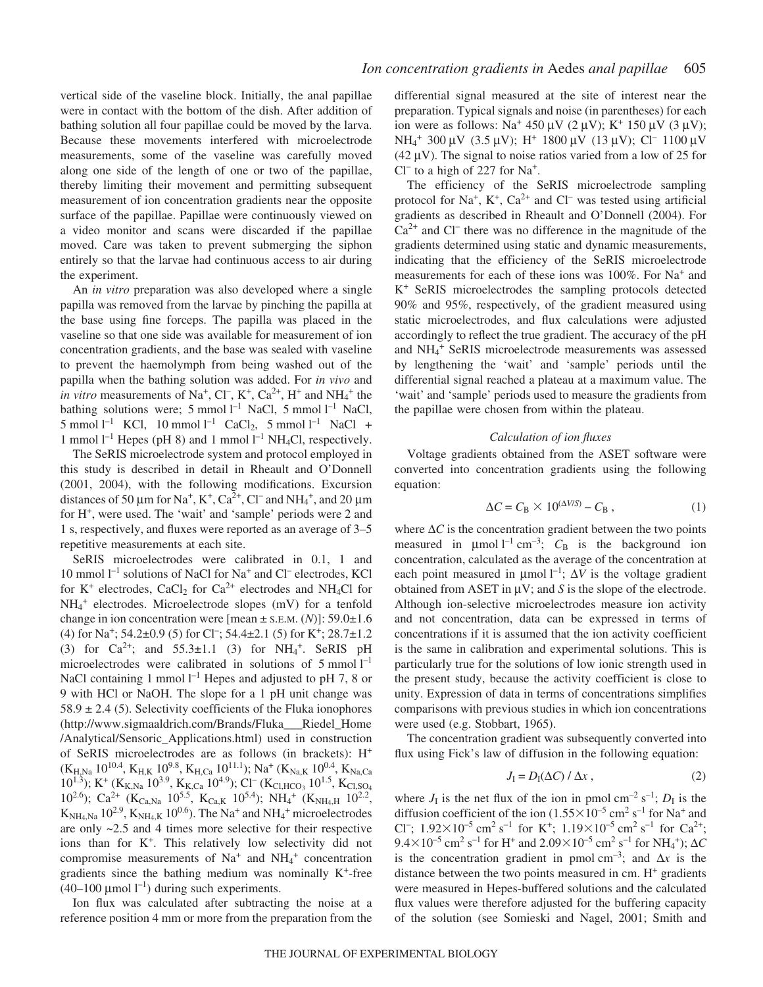vertical side of the vaseline block. Initially, the anal papillae were in contact with the bottom of the dish. After addition of bathing solution all four papillae could be moved by the larva. Because these movements interfered with microelectrode measurements, some of the vaseline was carefully moved along one side of the length of one or two of the papillae, thereby limiting their movement and permitting subsequent measurement of ion concentration gradients near the opposite surface of the papillae. Papillae were continuously viewed on a video monitor and scans were discarded if the papillae moved. Care was taken to prevent submerging the siphon entirely so that the larvae had continuous access to air during the experiment.

An *in vitro* preparation was also developed where a single papilla was removed from the larvae by pinching the papilla at the base using fine forceps. The papilla was placed in the vaseline so that one side was available for measurement of ion concentration gradients, and the base was sealed with vaseline to prevent the haemolymph from being washed out of the papilla when the bathing solution was added. For *in vivo* and *in vitro* measurements of Na<sup>+</sup>, Cl<sup>-</sup>, K<sup>+</sup>, Ca<sup>2+</sup>, H<sup>+</sup> and NH<sub>4</sub><sup>+</sup> the bathing solutions were; 5 mmol  $l^{-1}$  NaCl, 5 mmol  $l^{-1}$  NaCl,  $5 \text{ mmol } l^{-1}$  KCl,  $10 \text{ mmol } l^{-1}$  CaCl<sub>2</sub>,  $5 \text{ mmol } l^{-1}$  NaCl + 1 mmol  $l^{-1}$  Hepes (pH 8) and 1 mmol  $l^{-1}$  NH<sub>4</sub>Cl, respectively.

The SeRIS microelectrode system and protocol employed in this study is described in detail in Rheault and O'Donnell (2001, 2004), with the following modifications. Excursion distances of 50  $\mu$ m for Na<sup>+</sup>, K<sup>+</sup>, Ca<sup>2+</sup>, Cl<sup>-</sup> and NH<sub>4</sub><sup>+</sup>, and 20  $\mu$ m for H+, were used. The 'wait' and 'sample' periods were 2 and 1 s, respectively, and fluxes were reported as an average of 3–5 repetitive measurements at each site.

SeRIS microelectrodes were calibrated in 0.1, 1 and 10 mmol  $l^{-1}$  solutions of NaCl for Na<sup>+</sup> and Cl<sup>-</sup> electrodes, KCl for  $K^+$  electrodes, CaCl<sub>2</sub> for Ca<sup>2+</sup> electrodes and NH<sub>4</sub>Cl for NH4 <sup>+</sup> electrodes. Microelectrode slopes (mV) for a tenfold change in ion concentration were [mean ± S.E.M. (*N*)]: 59.0±1.6 (4) for Na<sup>+</sup>; 54.2±0.9 (5) for Cl<sup>-</sup>; 54.4±2.1 (5) for K<sup>+</sup>; 28.7±1.2 (3) for  $Ca^{2+}$ ; and  $55.3 \pm 1.1$  (3) for  $NH_4^+$ . SeRIS pH microelectrodes were calibrated in solutions of 5 mmol  $l^{-1}$ NaCl containing 1 mmol  $l^{-1}$  Hepes and adjusted to pH 7, 8 or 9 with HCl or NaOH. The slope for a 1 pH unit change was  $58.9 \pm 2.4$  (5). Selectivity coefficients of the Fluka ionophores (http://www.sigmaaldrich.com/Brands/Fluka\_\_\_Riedel\_Home /Analytical/Sensoric\_Applications.html) used in construction of SeRIS microelectrodes are as follows (in brackets): H+  $(K_{H,Na} 10^{10.4}, K_{H,K} 10^{9.8}, K_{H,Ca} 10^{11.1})$ ; Na<sup>+</sup> (K<sub>Na,K</sub> 10<sup>0.4</sup>, K<sub>Na,Ca</sub> 10<sup>1.3</sup>); K<sup>+</sup> (K<sub>K,Na</sub> 10<sup>3.9</sup>, K<sub>K,Ca</sub> 10<sup>4.9</sup>); Cl<sup>-</sup> (K<sub>Cl,HCO3</sub> 10<sup>1.5</sup>, K<sub>Cl,SO4</sub>  $10^{2.6}$ ); Ca<sup>2+</sup> (K<sub>Ca,Na</sub>  $10^{5.5}$ , K<sub>Ca,K</sub>  $10^{5.4}$ ); NH<sub>4</sub><sup>+</sup> (K<sub>NH<sub>4</sub>H  $10^{2.2}$ ,</sub>  $K_{NH_4,Na}$  10<sup>2.9</sup>,  $K_{NH_4,K}$  10<sup>0.6</sup>). The Na<sup>+</sup> and NH<sub>4</sub><sup>+</sup> microelectrodes are only ~2.5 and 4 times more selective for their respective ions than for K+. This relatively low selectivity did not compromise measurements of  $Na<sup>+</sup>$  and  $NH<sub>4</sub><sup>+</sup>$  concentration gradients since the bathing medium was nominally  $K^+$ -free  $(40-100 \mu \text{mol} \, \text{m}^{-1})$  during such experiments.

Ion flux was calculated after subtracting the noise at a reference position 4 mm or more from the preparation from the

differential signal measured at the site of interest near the preparation. Typical signals and noise (in parentheses) for each ion were as follows: Na<sup>+</sup> 450 µV (2 µV); K<sup>+</sup> 150 µV (3 µV); NH<sub>4</sub><sup>+</sup> 300 µV (3.5 µV); H<sup>+</sup> 1800 µV (13 µV); Cl<sup>-</sup> 1100 µV (42  $\mu$ V). The signal to noise ratios varied from a low of 25 for Cl<sup>–</sup> to a high of 227 for  $Na^+$ .

The efficiency of the SeRIS microelectrode sampling protocol for  $Na^+$ ,  $K^+$ ,  $Ca^{2+}$  and  $Cl^-$  was tested using artificial gradients as described in Rheault and O'Donnell (2004). For  $Ca<sup>2+</sup>$  and Cl<sup>–</sup> there was no difference in the magnitude of the gradients determined using static and dynamic measurements, indicating that the efficiency of the SeRIS microelectrode measurements for each of these ions was 100%. For Na<sup>+</sup> and K+ SeRIS microelectrodes the sampling protocols detected 90% and 95%, respectively, of the gradient measured using static microelectrodes, and flux calculations were adjusted accordingly to reflect the true gradient. The accuracy of the pH and NH4 <sup>+</sup> SeRIS microelectrode measurements was assessed by lengthening the 'wait' and 'sample' periods until the differential signal reached a plateau at a maximum value. The 'wait' and 'sample' periods used to measure the gradients from the papillae were chosen from within the plateau.

## *Calculation of ion fluxes*

Voltage gradients obtained from the ASET software were converted into concentration gradients using the following equation:

$$
\Delta C = C_{\rm B} \times 10^{(\Delta V/S)} - C_{\rm B} \,,\tag{1}
$$

where ∆*C* is the concentration gradient between the two points measured in  $\mu$ mol<sup>-1</sup> cm<sup>-3</sup>;  $C_B$  is the background ion concentration, calculated as the average of the concentration at each point measured in  $\mu$ mol l<sup>-1</sup>;  $\Delta V$  is the voltage gradient obtained from ASET in  $\mu$ V; and *S* is the slope of the electrode. Although ion-selective microelectrodes measure ion activity and not concentration, data can be expressed in terms of concentrations if it is assumed that the ion activity coefficient is the same in calibration and experimental solutions. This is particularly true for the solutions of low ionic strength used in the present study, because the activity coefficient is close to unity. Expression of data in terms of concentrations simplifies comparisons with previous studies in which ion concentrations were used (e.g. Stobbart, 1965).

The concentration gradient was subsequently converted into flux using Fick's law of diffusion in the following equation:

$$
J_{\rm I} = D_{\rm I}(\Delta C) / \Delta x \,, \tag{2}
$$

where  $J_I$  is the net flux of the ion in pmol cm<sup>-2</sup> s<sup>-1</sup>;  $D_I$  is the diffusion coefficient of the ion  $(1.55 \times 10^{-5} \text{ cm}^2 \text{ s}^{-1}$  for Na<sup>+</sup> and Cl<sup>-</sup>;  $1.92 \times 10^{-5}$  cm<sup>2</sup> s<sup>-1</sup> for K<sup>+</sup>;  $1.19 \times 10^{-5}$  cm<sup>2</sup> s<sup>-1</sup> for Ca<sup>2+</sup>; 9.4×10<sup>-5</sup> cm<sup>2</sup> s<sup>-1</sup> for H<sup>+</sup> and 2.09×10<sup>-5</sup> cm<sup>2</sup> s<sup>-1</sup> for NH<sub>4</sub><sup>+</sup>); Δ*C* is the concentration gradient in pmol cm<sup>-3</sup>; and  $\Delta x$  is the distance between the two points measured in cm. H<sup>+</sup> gradients were measured in Hepes-buffered solutions and the calculated flux values were therefore adjusted for the buffering capacity of the solution (see Somieski and Nagel, 2001; Smith and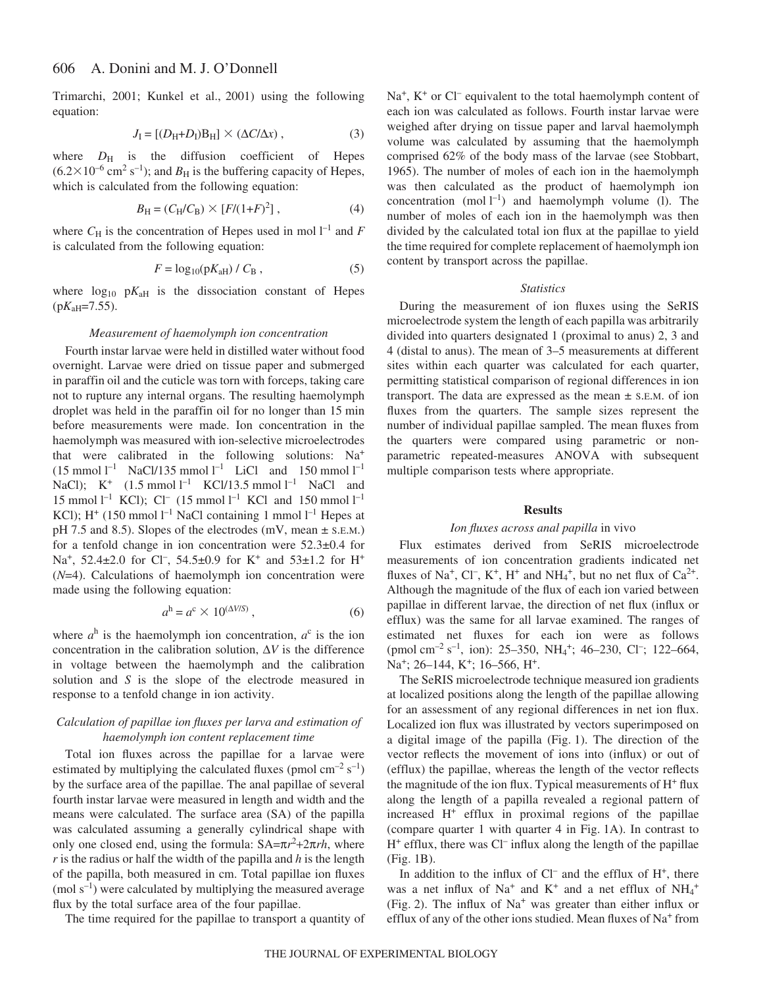Trimarchi, 2001; Kunkel et al., 2001) using the following equation:

$$
J_{\rm I} = [(D_{\rm H} + D_{\rm I})B_{\rm H}] \times (\Delta C/\Delta x) , \qquad (3)
$$

where  $D_H$  is the diffusion coefficient of Hepes  $(6.2 \times 10^{-6} \text{ cm}^2 \text{ s}^{-1})$ ; and  $B_H$  is the buffering capacity of Hepes, which is calculated from the following equation:

$$
B_{\rm H} = (C_{\rm H}/C_{\rm B}) \times [F/(1+F)^2],\tag{4}
$$

where  $C_H$  is the concentration of Hepes used in mol  $l^{-1}$  and F is calculated from the following equation:

$$
F = \log_{10}(\text{p}K_{\text{aH}}) / C_{\text{B}} , \qquad (5)
$$

where  $log_{10}$   $pK<sub>aH</sub>$  is the dissociation constant of Hepes  $(pK_{\text{aH}}=7.55)$ .

## *Measurement of haemolymph ion concentration*

Fourth instar larvae were held in distilled water without food overnight. Larvae were dried on tissue paper and submerged in paraffin oil and the cuticle was torn with forceps, taking care not to rupture any internal organs. The resulting haemolymph droplet was held in the paraffin oil for no longer than 15 min before measurements were made. Ion concentration in the haemolymph was measured with ion-selective microelectrodes that were calibrated in the following solutions: Na<sup>+</sup>  $(15 \text{ mmol } l^{-1} \text{ NaCl}/135 \text{ mmol } l^{-1} \text{ LiCl} \text{ and } 150 \text{ mmol } l^{-1}$ NaCl);  $K^+$  (1.5 mmol  $l^{-1}$  KCl/13.5 mmol  $l^{-1}$  NaCl and 15 mmol  $l^{-1}$  KCl); Cl<sup>-</sup> (15 mmol  $l^{-1}$  KCl and 150 mmol  $l^{-1}$ KCl); H<sup>+</sup> (150 mmol  $l^{-1}$  NaCl containing 1 mmol  $l^{-1}$  Hepes at pH 7.5 and 8.5). Slopes of the electrodes (mV, mean  $\pm$  s.E.M.) for a tenfold change in ion concentration were 52.3±0.4 for Na<sup>+</sup>, 52.4 $\pm$ 2.0 for Cl<sup>-</sup>, 54.5 $\pm$ 0.9 for K<sup>+</sup> and 53 $\pm$ 1.2 for H<sup>+</sup> (*N*=4). Calculations of haemolymph ion concentration were made using the following equation:

$$
a^{\rm h} = a^{\rm c} \times 10^{(\Delta V/S)}\,,\tag{6}
$$

where  $a^h$  is the haemolymph ion concentration,  $a^c$  is the ion concentration in the calibration solution, ∆*V* is the difference in voltage between the haemolymph and the calibration solution and *S* is the slope of the electrode measured in response to a tenfold change in ion activity.

# *Calculation of papillae ion fluxes per larva and estimation of haemolymph ion content replacement time*

Total ion fluxes across the papillae for a larvae were estimated by multiplying the calculated fluxes (pmol  $\text{cm}^{-2} \text{ s}^{-1}$ ) by the surface area of the papillae. The anal papillae of several fourth instar larvae were measured in length and width and the means were calculated. The surface area (SA) of the papilla was calculated assuming a generally cylindrical shape with only one closed end, using the formula:  $SA = \pi r^2 + 2\pi rh$ , where *r* is the radius or half the width of the papilla and *h* is the length of the papilla, both measured in cm. Total papillae ion fluxes  $\pmod{s^{-1}}$  were calculated by multiplying the measured average flux by the total surface area of the four papillae.

The time required for the papillae to transport a quantity of

 $Na<sup>+</sup>$ ,  $K<sup>+</sup>$  or Cl<sup>–</sup> equivalent to the total haemolymph content of each ion was calculated as follows. Fourth instar larvae were weighed after drying on tissue paper and larval haemolymph volume was calculated by assuming that the haemolymph comprised 62% of the body mass of the larvae (see Stobbart, 1965). The number of moles of each ion in the haemolymph was then calculated as the product of haemolymph ion concentration (mol  $l^{-1}$ ) and haemolymph volume (l). The number of moles of each ion in the haemolymph was then divided by the calculated total ion flux at the papillae to yield the time required for complete replacement of haemolymph ion content by transport across the papillae.

### *Statistics*

During the measurement of ion fluxes using the SeRIS microelectrode system the length of each papilla was arbitrarily divided into quarters designated 1 (proximal to anus) 2, 3 and 4 (distal to anus). The mean of 3–5 measurements at different sites within each quarter was calculated for each quarter, permitting statistical comparison of regional differences in ion transport. The data are expressed as the mean  $\pm$  s.E.M. of ion fluxes from the quarters. The sample sizes represent the number of individual papillae sampled. The mean fluxes from the quarters were compared using parametric or nonparametric repeated-measures ANOVA with subsequent multiple comparison tests where appropriate.

## **Results**

## *Ion fluxes across anal papilla* in vivo

Flux estimates derived from SeRIS microelectrode measurements of ion concentration gradients indicated net fluxes of Na<sup>+</sup>, Cl<sup>-</sup>, K<sup>+</sup>, H<sup>+</sup> and NH<sub>4</sub><sup>+</sup>, but no net flux of Ca<sup>2+</sup>. Although the magnitude of the flux of each ion varied between papillae in different larvae, the direction of net flux (influx or efflux) was the same for all larvae examined. The ranges of estimated net fluxes for each ion were as follows (pmol cm<sup>-2</sup> s<sup>-1</sup>, ion): 25–350, NH<sub>4</sub><sup>+</sup>; 46–230, Cl<sup>-</sup>; 122–664, Na<sup>+</sup>; 26-144, K<sup>+</sup>; 16-566, H<sup>+</sup>.

The SeRIS microelectrode technique measured ion gradients at localized positions along the length of the papillae allowing for an assessment of any regional differences in net ion flux. Localized ion flux was illustrated by vectors superimposed on a digital image of the papilla (Fig. 1). The direction of the vector reflects the movement of ions into (influx) or out of (efflux) the papillae, whereas the length of the vector reflects the magnitude of the ion flux. Typical measurements of  $H^+$  flux along the length of a papilla revealed a regional pattern of increased H+ efflux in proximal regions of the papillae (compare quarter  $1$  with quarter  $4$  in Fig. 1A). In contrast to  $H^+$  efflux, there was  $Cl^-$  influx along the length of the papillae  $(Fig. 1B)$ .

In addition to the influx of  $Cl^-$  and the efflux of  $H^+$ , there was a net influx of  $Na^+$  and  $K^+$  and a net efflux of  $NH_4^+$ (Fig. 2). The influx of  $Na<sup>+</sup>$  was greater than either influx or efflux of any of the other ions studied. Mean fluxes of Na<sup>+</sup> from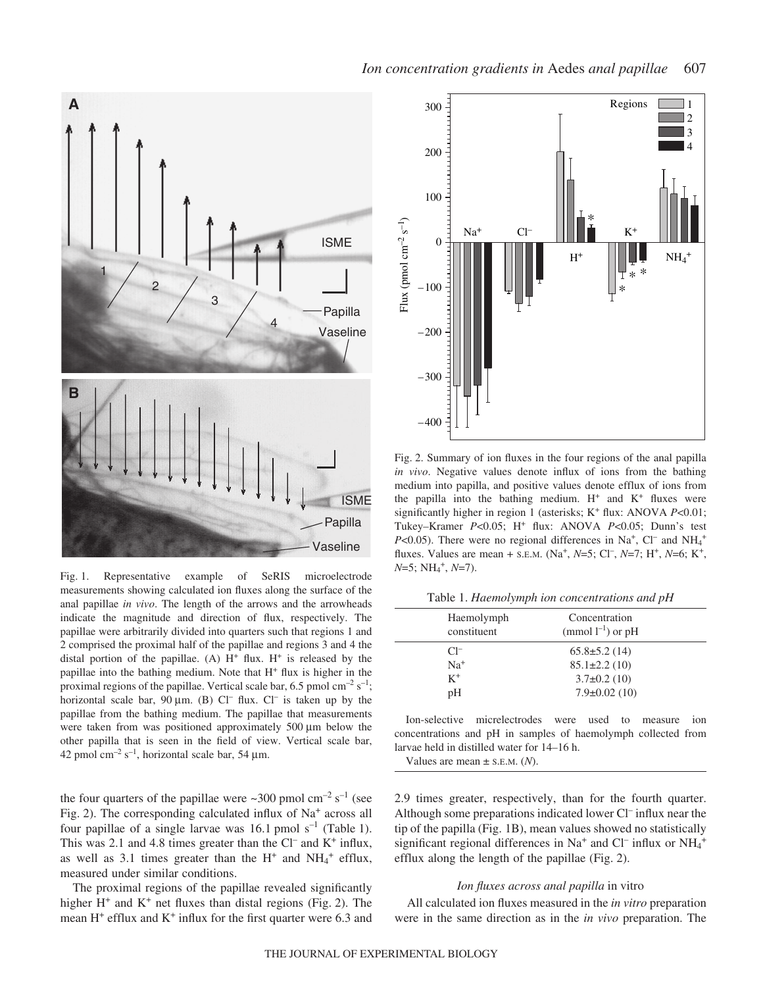

Fig. 1. Representative example of SeRIS microelectrode measurements showing calculated ion fluxes along the surface of the anal papillae *in vivo*. The length of the arrows and the arrowheads indicate the magnitude and direction of flux, respectively. The papillae were arbitrarily divided into quarters such that regions 1 and 2 comprised the proximal half of the papillae and regions 3 and 4 the distal portion of the papillae. (A)  $H^+$  flux.  $H^+$  is released by the papillae into the bathing medium. Note that  $H^+$  flux is higher in the proximal regions of the papillae. Vertical scale bar, 6.5 pmol  $\text{cm}^{-2} \text{ s}^{-1}$ ; horizontal scale bar,  $90 \mu m$ . (B) Cl<sup>-</sup> flux. Cl<sup>-</sup> is taken up by the papillae from the bathing medium. The papillae that measurements were taken from was positioned approximately  $500 \mu m$  below the other papilla that is seen in the field of view. Vertical scale bar, 42 pmol cm<sup>-2</sup> s<sup>-1</sup>, horizontal scale bar, 54  $\mu$ m.

the four quarters of the papillae were  $\sim$ 300 pmol cm<sup>-2</sup> s<sup>-1</sup> (see Fig. 2). The corresponding calculated influx of  $Na<sup>+</sup>$  across all four papillae of a single larvae was 16.1 pmol  $s^{-1}$  (Table 1). This was 2.1 and 4.8 times greater than the  $Cl^-$  and  $K^+$  influx, as well as 3.1 times greater than the  $H^+$  and  $NH_4^+$  efflux, measured under similar conditions.

The proximal regions of the papillae revealed significantly higher  $H^+$  and  $K^+$  net fluxes than distal regions (Fig. 2). The mean  $H^+$  efflux and  $K^+$  influx for the first quarter were 6.3 and



Fig. 2. Summary of ion fluxes in the four regions of the anal papilla *in vivo*. Negative values denote influx of ions from the bathing medium into papilla, and positive values denote efflux of ions from the papilla into the bathing medium.  $H^+$  and  $K^+$  fluxes were significantly higher in region 1 (asterisks; K<sup>+</sup> flux: ANOVA *P*<0.01; Tukey–Kramer *P*<0.05; H<sup>+</sup> flux: ANOVA *P*<0.05; Dunn's test  $P<0.05$ ). There were no regional differences in Na<sup>+</sup>, Cl<sup>-</sup> and NH<sub>4</sub><sup>+</sup> fluxes. Values are mean + s.E.M. (Na<sup>+</sup>, N=5; Cl<sup>-</sup>, N=7; H<sup>+</sup>, N=6; K<sup>+</sup>, *N*=5; NH<sub>4</sub><sup>+</sup>, *N*=7).

Table 1. *Haemolymph ion concentrations and pH* 

| Haemolymph<br>constituent | Concentration<br>(mmol $l^{-1}$ ) or pH |  |
|---------------------------|-----------------------------------------|--|
| $Cl^-$                    | $65.8 \pm 5.2$ (14)                     |  |
| $Na+$                     | $85.1 \pm 2.2$ (10)                     |  |
| $K^+$                     | $3.7\pm0.2$ (10)                        |  |
| pΗ                        | $7.9 \pm 0.02$ (10)                     |  |
|                           |                                         |  |

Ion-selective micrelectrodes were used to measure ion concentrations and pH in samples of haemolymph collected from larvae held in distilled water for 14-16 h.

Values are mean  $\pm$  s.e.m. (*N*).

2.9 times greater, respectively, than for the fourth quarter. Although some preparations indicated lower Cl<sup>-</sup> influx near the tip of the papilla (Fig.  $1B$ ), mean values showed no statistically significant regional differences in Na<sup>+</sup> and Cl<sup>-</sup> influx or NH<sub>4</sub><sup>+</sup> efflux along the length of the papillae (Fig.  $2$ ).

# *Ion fluxes across anal papilla* in vitro

All calculated ion fluxes measured in the *in vitro* preparation were in the same direction as in the *in vivo* preparation. The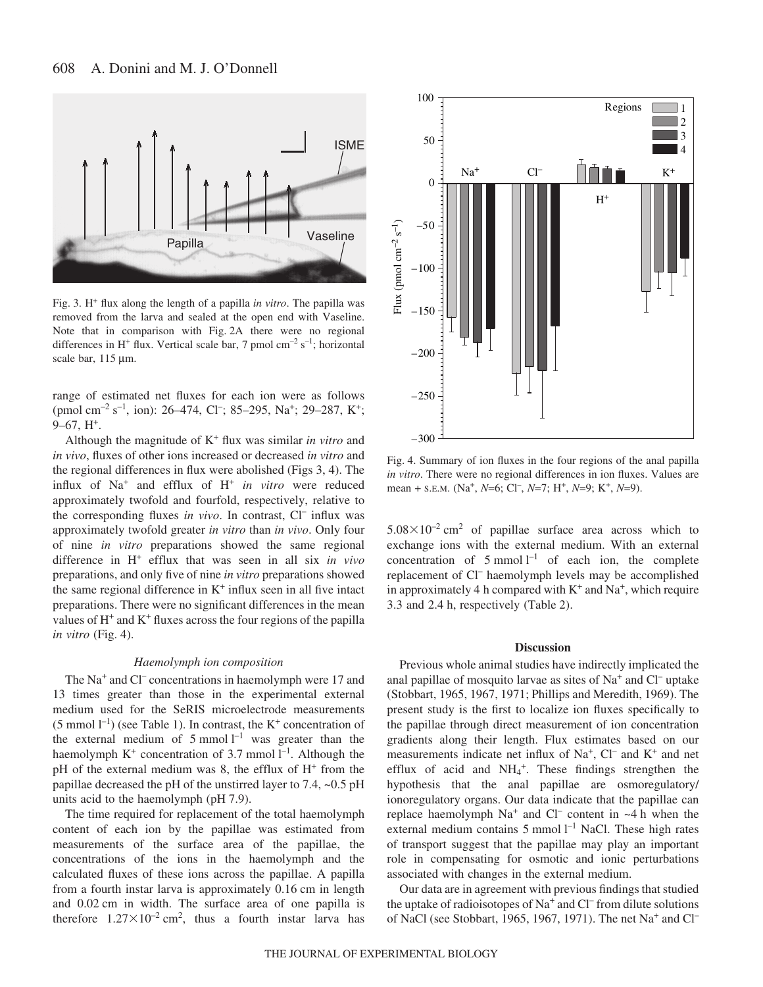

Fig. 3. H<sup>+</sup> flux along the length of a papilla *in vitro*. The papilla was removed from the larva and sealed at the open end with Vaseline. Note that in comparison with Fig. 2A there were no regional differences in H<sup>+</sup> flux. Vertical scale bar, 7 pmol cm<sup>-2</sup> s<sup>-1</sup>; horizontal scale bar,  $115 \mu m$ .

range of estimated net fluxes for each ion were as follows (pmol cm<sup>-2</sup> s<sup>-1</sup>, ion): 26–474, Cl<sup>-</sup>; 85–295, Na<sup>+</sup>; 29–287, K<sup>+</sup>;  $9-67, H<sup>+</sup>$ .

Although the magnitude of K<sup>+</sup> flux was similar *in vitro* and *in vivo*, fluxes of other ions increased or decreased *in vitro* and the regional differences in flux were abolished (Figs 3, 4). The influx of Na<sup>+</sup> and efflux of H<sup>+</sup> *in vitro* were reduced approximately twofold and fourfold, respectively, relative to the corresponding fluxes *in vivo*. In contrast, Cl<sup>-</sup> influx was approximately twofold greater *in vitro* than *in vivo*. Only four of nine *in vitro* preparations showed the same regional difference in H+ efflux that was seen in all six *in vivo* preparations, and only five of nine *in vitro* preparations showed the same regional difference in  $K^+$  influx seen in all five intact preparations. There were no significant differences in the mean values of  $H^+$  and  $K^+$  fluxes across the four regions of the papilla *in vitro* (Fig. 4).

#### *Haemolymph ion composition*

The Na<sup>+</sup> and Cl<sup>–</sup> concentrations in haemolymph were 17 and 13 times greater than those in the experimental external medium used for the SeRIS microelectrode measurements  $(5 \text{ mmol } l^{-1})$  (see Table 1). In contrast, the K<sup>+</sup> concentration of the external medium of  $5 \text{ mmol } l^{-1}$  was greater than the haemolymph  $K^+$  concentration of 3.7 mmol  $l^{-1}$ . Although the  $pH$  of the external medium was 8, the efflux of  $H^+$  from the papillae decreased the pH of the unstirred layer to 7.4, ~0.5 pH units acid to the haemolymph  $(pH7.9)$ .

The time required for replacement of the total haemolymph content of each ion by the papillae was estimated from measurements of the surface area of the papillae, the concentrations of the ions in the haemolymph and the calculated fluxes of these ions across the papillae. A papilla from a fourth instar larva is approximately 0.16 cm in length and 0.02 cm in width. The surface area of one papilla is therefore  $1.27 \times 10^{-2}$  cm<sup>2</sup>, thus a fourth instar larva has



Fig. 4. Summary of ion fluxes in the four regions of the anal papilla *in vitro*. There were no regional differences in ion fluxes. Values are mean + s.e.m. (Na<sup>+</sup>, N=6; Cl<sup>-</sup>, N=7; H<sup>+</sup>, N=9; K<sup>+</sup>, N=9).

 $5.08\times10^{-2}$  cm<sup>2</sup> of papillae surface area across which to exchange ions with the external medium. With an external concentration of 5 mmol  $l^{-1}$  of each ion, the complete replacement of Cl– haemolymph levels may be accomplished in approximately 4 h compared with  $K^+$  and  $Na^+$ , which require 3.3 and 2.4 h, respectively (Table 2).

#### **Discussion**

Previous whole animal studies have indirectly implicated the anal papillae of mosquito larvae as sites of  $Na<sup>+</sup>$  and  $Cl<sup>-</sup>$  uptake (Stobbart, 1965, 1967, 1971; Phillips and Meredith, 1969). The present study is the first to localize ion fluxes specifically to the papillae through direct measurement of ion concentration gradients along their length. Flux estimates based on our measurements indicate net influx of  $Na<sup>+</sup>$ , Cl<sup>–</sup> and K<sup>+</sup> and net efflux of acid and  $NH_4^+$ . These findings strengthen the hypothesis that the anal papillae are osmoregulatory/ ionoregulatory organs. Our data indicate that the papillae can replace haemolymph  $Na^+$  and  $Cl^-$  content in  $~\sim$ 4 h when the external medium contains  $5 \text{ mmol } l^{-1}$  NaCl. These high rates of transport suggest that the papillae may play an important role in compensating for osmotic and ionic perturbations associated with changes in the external medium.

Our data are in agreement with previous findings that studied the uptake of radioisotopes of  $Na<sup>+</sup>$  and  $Cl<sup>-</sup>$  from dilute solutions of NaCl (see Stobbart, 1965, 1967, 1971). The net Na<sup>+</sup> and Cl–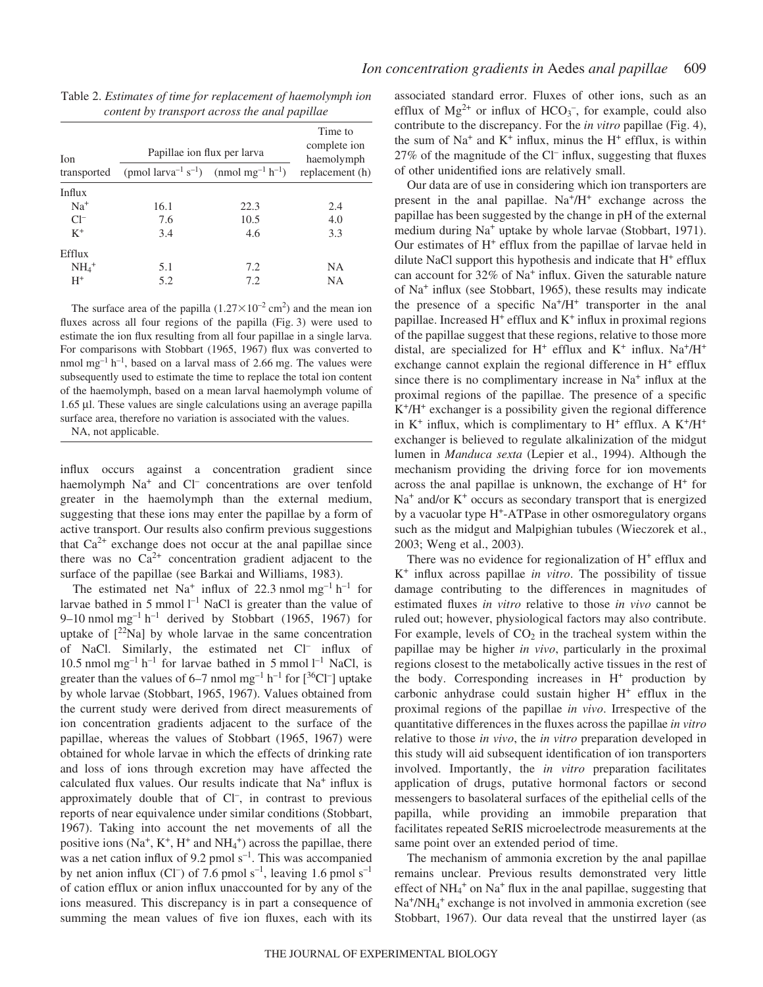Table 2. *Estimates of time for replacement of haemolymph ion content by transport across the anal papillae* 

| <b>Ton</b>          | Papillae ion flux per larva                                                          |      | Time to<br>complete ion<br>haemolymph |
|---------------------|--------------------------------------------------------------------------------------|------|---------------------------------------|
| transported         | (pmol larva <sup>-1</sup> s <sup>-1</sup> ) (nmol mg <sup>-1</sup> h <sup>-1</sup> ) |      | replacement (h)                       |
| Influx              |                                                                                      |      |                                       |
| $Na+$               | 16.1                                                                                 | 22.3 | 2.4                                   |
| $Cl^-$              | 7.6                                                                                  | 10.5 | 4.0                                   |
| $K^+$               | 3.4                                                                                  | 4.6  | 3.3                                   |
| Efflux              |                                                                                      |      |                                       |
| $NH_4$ <sup>+</sup> | 5.1                                                                                  | 7.2  | NA                                    |
| $H^+$               | 5.2                                                                                  | 7.2  | NΑ                                    |

The surface area of the papilla  $(1.27 \times 10^{-2} \text{ cm}^2)$  and the mean ion fluxes across all four regions of the papilla (Fig. 3) were used to estimate the ion flux resulting from all four papillae in a single larva. For comparisons with Stobbart (1965, 1967) flux was converted to nmol  $mg^{-1} h^{-1}$ , based on a larval mass of 2.66 mg. The values were subsequently used to estimate the time to replace the total ion content of the haemolymph, based on a mean larval haemolymph volume of  $1.65 \mu$ . These values are single calculations using an average papilla surface area, therefore no variation is associated with the values. NA, not applicable.

influx occurs against a concentration gradient since haemolymph Na<sup>+</sup> and Cl<sup>-</sup> concentrations are over tenfold greater in the haemolymph than the external medium, suggesting that these ions may enter the papillae by a form of active transport. Our results also confirm previous suggestions that  $Ca^{2+}$  exchange does not occur at the anal papillae since there was no  $Ca^{2+}$  concentration gradient adjacent to the surface of the papillae (see Barkai and Williams, 1983).

The estimated net Na<sup>+</sup> influx of 22.3 nmol mg<sup>-1</sup> h<sup>-1</sup> for larvae bathed in 5 mmol  $l^{-1}$  NaCl is greater than the value of 9–10 nmol mg<sup>-1</sup> h<sup>-1</sup> derived by Stobbart (1965, 1967) for uptake of  $[^{22}Na]$  by whole larvae in the same concentration of NaCl. Similarly, the estimated net Cl<sup>-</sup> influx of 10.5 nmol mg<sup>-1</sup> h<sup>-1</sup> for larvae bathed in 5 mmol  $l^{-1}$  NaCl, is greater than the values of 6–7 nmol mg<sup>-1</sup> h<sup>-1</sup> for  $[^{36}Cl^-]$  uptake by whole larvae (Stobbart, 1965, 1967). Values obtained from the current study were derived from direct measurements of ion concentration gradients adjacent to the surface of the papillae, whereas the values of Stobbart (1965, 1967) were obtained for whole larvae in which the effects of drinking rate and loss of ions through excretion may have affected the calculated flux values. Our results indicate that  $Na<sup>+</sup>$  influx is approximately double that of Cl-, in contrast to previous reports of near equivalence under similar conditions (Stobbart, 1967). Taking into account the net movements of all the positive ions  $(Na^+, K^+, H^+)$  and  $NH_4^+)$  across the papillae, there was a net cation influx of 9.2 pmol  $s^{-1}$ . This was accompanied by net anion influx (Cl<sup>-</sup>) of 7.6 pmol s<sup>-1</sup>, leaving 1.6 pmol s<sup>-1</sup> of cation efflux or anion influx unaccounted for by any of the ions measured. This discrepancy is in part a consequence of summing the mean values of five ion fluxes, each with its

associated standard error. Fluxes of other ions, such as an efflux of  $Mg^{2+}$  or influx of HCO<sub>3</sub><sup>-</sup>, for example, could also contribute to the discrepancy. For the *in vitro* papillae (Fig. 4), the sum of  $Na<sup>+</sup>$  and  $K<sup>+</sup>$  influx, minus the  $H<sup>+</sup>$  efflux, is within  $27\%$  of the magnitude of the Cl<sup>-</sup> influx, suggesting that fluxes of other unidentified ions are relatively small.

Our data are of use in considering which ion transporters are present in the anal papillae.  $Na^{+}/H^{+}$  exchange across the papillae has been suggested by the change in pH of the external medium during Na<sup>+</sup> uptake by whole larvae (Stobbart, 1971). Our estimates of  $H^+$  efflux from the papillae of larvae held in dilute NaCl support this hypothesis and indicate that  $H^+$  efflux can account for  $32\%$  of Na<sup>+</sup> influx. Given the saturable nature of Na<sup>+</sup> influx (see Stobbart, 1965), these results may indicate the presence of a specific  $Na<sup>+</sup>/H<sup>+</sup>$  transporter in the anal papillae. Increased  $H^+$  efflux and  $K^+$  influx in proximal regions of the papillae suggest that these regions, relative to those more distal, are specialized for  $H^+$  efflux and  $K^+$  influx. Na<sup>+</sup>/H<sup>+</sup> exchange cannot explain the regional difference in  $H^+$  efflux since there is no complimentary increase in  $Na<sup>+</sup>$  influx at the proximal regions of the papillae. The presence of a specific  $K^+$ /H<sup>+</sup> exchanger is a possibility given the regional difference in  $K^+$  influx, which is complimentary to  $H^+$  efflux. A  $K^+/H^+$ exchanger is believed to regulate alkalinization of the midgut lumen in *Manduca sexta* (Lepier et al., 1994). Although the mechanism providing the driving force for ion movements across the anal papillae is unknown, the exchange of  $H^+$  for  $Na<sup>+</sup>$  and/or  $K<sup>+</sup>$  occurs as secondary transport that is energized by a vacuolar type H+-ATPase in other osmoregulatory organs such as the midgut and Malpighian tubules (Wieczorek et al., 2003; Weng et al., 2003).

There was no evidence for regionalization of  $H^+$  efflux and K+ influx across papillae *in vitro*. The possibility of tissue damage contributing to the differences in magnitudes of estimated fluxes *in vitro* relative to those *in vivo* cannot be ruled out; however, physiological factors may also contribute. For example, levels of  $CO<sub>2</sub>$  in the tracheal system within the papillae may be higher *in vivo*, particularly in the proximal regions closest to the metabolically active tissues in the rest of the body. Corresponding increases in  $H^+$  production by carbonic anhydrase could sustain higher  $H^+$  efflux in the proximal regions of the papillae *in vivo*. Irrespective of the quantitative differences in the fluxes across the papillae *in vitro* relative to those *in vivo*, the *in vitro* preparation developed in this study will aid subsequent identification of ion transporters involved. Importantly, the *in vitro* preparation facilitates application of drugs, putative hormonal factors or second messengers to basolateral surfaces of the epithelial cells of the papilla, while providing an immobile preparation that facilitates repeated SeRIS microelectrode measurements at the same point over an extended period of time.

The mechanism of ammonia excretion by the anal papillae remains unclear. Previous results demonstrated very little effect of NH<sub>4</sub><sup>+</sup> on Na<sup>+</sup> flux in the anal papillae, suggesting that Na<sup>+</sup>/NH<sub>4</sub><sup>+</sup> exchange is not involved in ammonia excretion (see Stobbart, 1967). Our data reveal that the unstirred layer (as